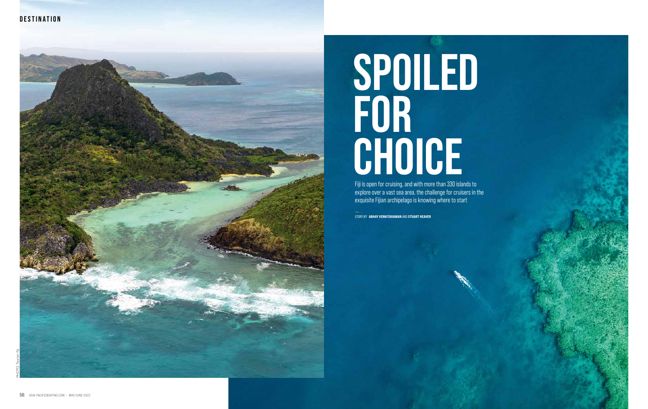Fiji is open for cruising, and with more than 330 islands to explore over a vast sea area, the challenge for cruisers in the exquisite Fijian archipelago is knowing where to start -

*STORY BY* ABHAY VENKITARAMAN AND STUART HEAVER

# **SPOILED FOR CHOICE**





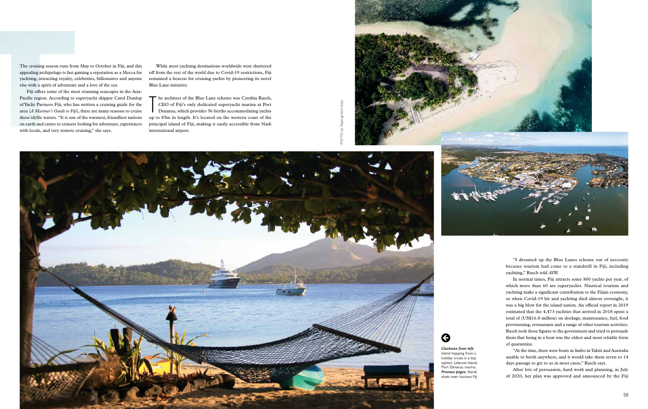The cruising season runs from May to October in Fiji, and this appealing archipelago is fast gaining a reputation as a Mecca for yachting, attracting royalty, celebrities, billionaires and anyone else with a spirit of adventure and a love of the sea.

The cruising season runs from<br>appealing archipelago is fast g<br>yachting, attracting royalty, co<br>else with a spirit of adventure<br>Fiji offers some of the mo<br>Pacific region. According to sof<br>Yacht Partners Fiji, who ha<br>area (A Fiji offers some of the most stunning seascapes in the Asia-Pacific region. According to superyacht skipper Carol Dunlop of Yacht Partners Fiji, who has written a cruising guide for the area (*A Mariner's Guide to Fiji*), there are many reasons to cruise these idyllic waters. "It is one of the warmest, friendliest nations on earth and caters to cruisers looking for adventure, experiences with locals, and very remote cruising," she says.

The architect of the Blue Lane scheme was Cynthia Rasch,<br>CEO of Fiji's only dedicated superyacht marina at Port<br>Denarau, which provides 56 berths accommodating yachts<br>up to 85m in length. It's located on the western coast  $\blacksquare$  he architect of the Blue Lane scheme was Cynthia Rasch, CEO of Fiji's only dedicated superyacht marina at Port Denarau, which provides 56 berths accommodating yachts principal island of Fiji, making it easily accessible from Nadi international airport.



While most yachting destinations worldwide were shuttered off from the rest of the world due to Covid-19 restrictions, Fiji remained a beacon for cruising yachts by pioneering its novel Blue Lane initiative.

> "I dreamed up the Blue Lanes scheme out of necessity because tourism had come to a standstill in Fiji, including yachting," Rasch told *APB*.

> In normal times, Fiji attracts some 800 yachts per year, of which more than 60 are superyachts. Nautical tourism and yachting make a significant contribution to the Fijian economy, so when Covid-19 hit and yachting died almost overnight, it was a big blow for the island nation. An official report in 2019 estimated that the 4,473 yachties that arrived in 2018 spent a total of (US\$16.8 million) on dockage, maintenance, fuel, food provisioning, restaurants and a range of other tourism activities. Rasch took those figures to the government and tried to persuade them that being in a boat was the oldest and most reliable form of quarantine.

> "At the time, there were boats in limbo in Tahiti and Australia unable to berth anywhere, and it would take them seven to 14 days passage to get to us in most cases," Rasch says.

> After lots of persuasion, hard work and planning, in July of 2020, her plan was approved and announced by the Fiji

*Clockwise from left:*  Island hopping from a holiday cruise is a top option; Leleuvia Island; Port Denarau marina. *Previous pages:* Aerial shots over luscious Fiji

 $\bigodot$ 

PHOTO: Jay Topping/istock (top)



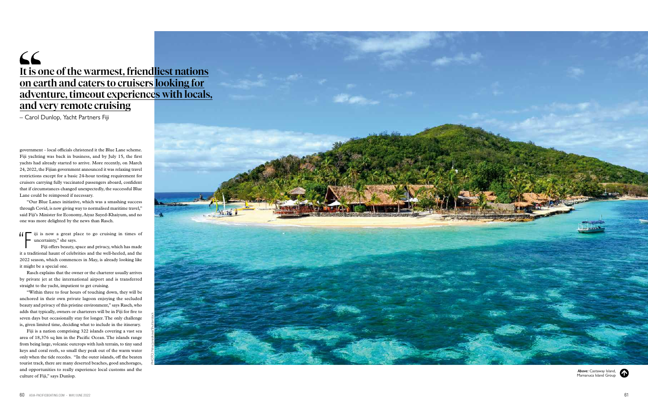government – local officials christened it the Blue Lane scheme. Fiji yachting was back in business, and by July 15, the first yachts had already started to arrive. More recently, on March 24, 2022, the Fijian government announced it was relaxing travel restrictions except for a basic 24-hour testing requirement for cruisers carrying fully vaccinated passengers aboard, confident that if circumstances changed unexpectedly, the successful Blue Lane could be reimposed if necessary.

 $\left\{\right\}$  iji is now a great place to go cruising in times of uncertainty," she says.

"Our Blue Lanes initiative, which was a smashing success through Covid, is now giving way to normalised maritime travel," said Fiji's Minister for Economy, Aiyaz Sayed-Khaiyum, and no one was more delighted by the news than Rasch.

Fiji offers beauty, space and privacy, which has made it a traditional haunt of celebrities and the well-heeled, and the 2022 season, which commences in May, is already looking like it might be a special one.

Rasch explains that the owner or the charterer usually arrives by private jet at the international airport and is transferred straight to the yacht, impatient to get cruising.

### $66$ It is one of the warmest, friendliest nations on earth and caters to cruisers looking for adventure, timeout experiences with locals, and very remote cruising

"Within three to four hours of touching down, they will be anchored in their own private lagoon enjoying the secluded beauty and privacy of this pristine environment," says Rasch, who adds that typically, owners or charterers will be in Fiji for five to seven days but occasionally stay for longer. The only challenge is, given limited time, deciding what to include in the itinerary.

Fiji is a nation comprising 322 islands covering a vast sea area of 18,376 sq km in the Pacific Ocean. The islands range from being large, volcanic outcrops with lush terrain, to tiny sand keys and coral reefs, so small they peak out of the warm water only when the tide recedes. "In the outer islands, off the beaten tourist track, there are many deserted beaches, good anchorages, and opportunities to really experience local customs and the culture of Fiji," says Dunlop.

*Above:* Castaway Island, Mamanuca Island Group



– Carol Dunlop, Yacht Partners Fiji

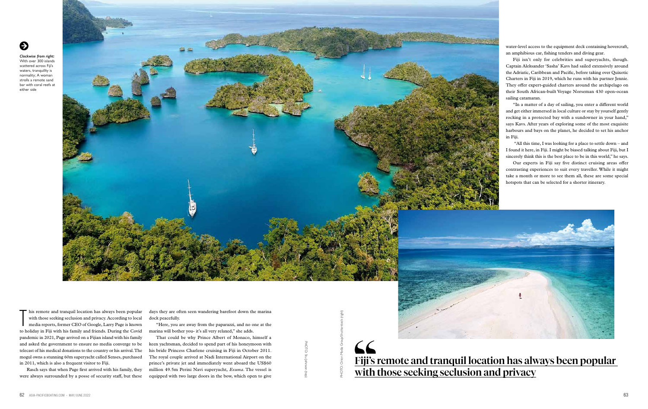Rasch says that when Page first arrived with his family, they were always surrounded by a posse of security staff, but these days they are often seen wandering barefoot down the marina dock peacefully.

"Here, you are away from the paparazzi, and no one at the marina will bother you- it's all very relaxed," she adds.

That could be why Prince Albert of Monaco, himself a keen yachtsman, decided to spend part of his honeymoon with his bride Princess Charlene cruising in Fiji in October 2011. The royal couple arrived at Nadi International Airport on the prince's private jet and immediately went aboard the US\$60 million 49.5m Perini Navi superyacht, *Exuma*. The vessel is equipped with two large doors in the bow, which open to give

# Fiji's remote and tranquil location has always been popular





 $\ddot{\bullet}$ 

*Clockwise from right:*  With over 300 islands scattered across Fiji's waters, tranquillty is normality; A woman strolls a remote sand bar with coral reefs at either side



T his remote and tranquil location has always been popular with those seeking seclusion and privacy. According to local media reports, former CEO of Google, Larry Page is known to holiday in Fiji with his family and friends. During the Covid pandemic in 2021, Page arrived on a Fijian island with his family and asked the government to ensure no media converge to be telecast of his medical donations to the country or his arrival. The mogul owns a stunning 60m superyacht called Senses, purchased in 2011, which is also a frequent visitor to Fiji. From the transmit molecular mass loves pear puppel at the section of the matter of the matter and asked the section pectahors and provide, According to both the matter orion of the cordinal method of the matter of the mat

water-level access to the equipment deck containing hovercraft, an amphibious car, fishing tenders and diving gear.

Fiji isn't only for celebrities and superyachts, though. Captain Aleksander 'Sasha' Kavs had sailed extensively around the Adriatic, Caribbean and Pacific, before taking over Quixotic Charters in Fiji in 2019, which he runs with his partner Jennie. They offer expert-guided charters around the archipelago on their South African-built Voyage Norseman 430 open-ocean sailing catamaran.

"In a matter of a day of sailing, you enter a different world and get either immersed in local culture or stay by yourself gently rocking in a protected bay with a sundowner in your hand," says Kavs. After years of exploring some of the most exquisite harbours and bays on the planet, he decided to set his anchor in Fiji.

 "All this time, I was looking for a place to settle down – and I found it here, in Fiji. I might be biased talking about Fiji, but I sincerely think this is the best place to be in this world," he says.

Our experts in Fiji say five distinct cruising areas offer contrasting experiences to suit every traveller. While it might take a month or more to see them all, these are some special hotspots that can be selected for a shorter itinerary.